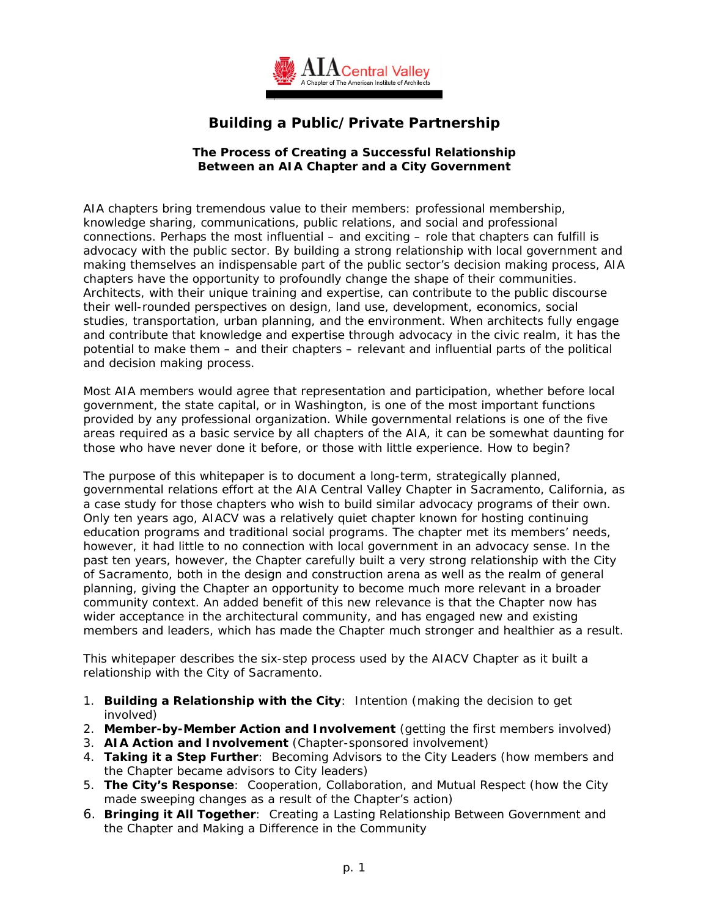

# **Building a Public/Private Partnership**

#### **The Process of Creating a Successful Relationship Between an AIA Chapter and a City Government**

AIA chapters bring tremendous value to their members: professional membership, knowledge sharing, communications, public relations, and social and professional connections. Perhaps the most influential – and exciting – role that chapters can fulfill is advocacy with the public sector. By building a strong relationship with local government and making themselves an indispensable part of the public sector's decision making process, AIA chapters have the opportunity to profoundly change the shape of their communities. Architects, with their unique training and expertise, can contribute to the public discourse their well-rounded perspectives on design, land use, development, economics, social studies, transportation, urban planning, and the environment. When architects fully engage and contribute that knowledge and expertise through advocacy in the civic realm, it has the potential to make them – and their chapters – relevant and influential parts of the political and decision making process.

Most AIA members would agree that representation and participation, whether before local government, the state capital, or in Washington, is one of the most important functions provided by any professional organization. While governmental relations is one of the five areas required as a basic service by all chapters of the AIA, it can be somewhat daunting for those who have never done it before, or those with little experience. How to begin?

The purpose of this whitepaper is to document a long-term, strategically planned, governmental relations effort at the AIA Central Valley Chapter in Sacramento, California, as a case study for those chapters who wish to build similar advocacy programs of their own. Only ten years ago, AIACV was a relatively quiet chapter known for hosting continuing education programs and traditional social programs. The chapter met its members' needs, however, it had little to no connection with local government in an advocacy sense. In the past ten years, however, the Chapter carefully built a very strong relationship with the City of Sacramento, both in the design and construction arena as well as the realm of general planning, giving the Chapter an opportunity to become much more relevant in a broader community context. An added benefit of this new relevance is that the Chapter now has wider acceptance in the architectural community, and has engaged new and existing members and leaders, which has made the Chapter much stronger and healthier as a result.

This whitepaper describes the six-step process used by the AIACV Chapter as it built a relationship with the City of Sacramento.

- 1. **Building a Relationship with the City**: Intention (making the decision to get involved)
- 2. **Member-by-Member Action and Involvement** (getting the first members involved)
- 3. **AIA Action and Involvement** (Chapter-sponsored involvement)
- 4. **Taking it a Step Further**: Becoming Advisors to the City Leaders (how members and the Chapter became advisors to City leaders)
- 5. **The City's Response**: Cooperation, Collaboration, and Mutual Respect (how the City made sweeping changes as a result of the Chapter's action)
- 6. **Bringing it All Together**: Creating a Lasting Relationship Between Government and the Chapter and Making a Difference in the Community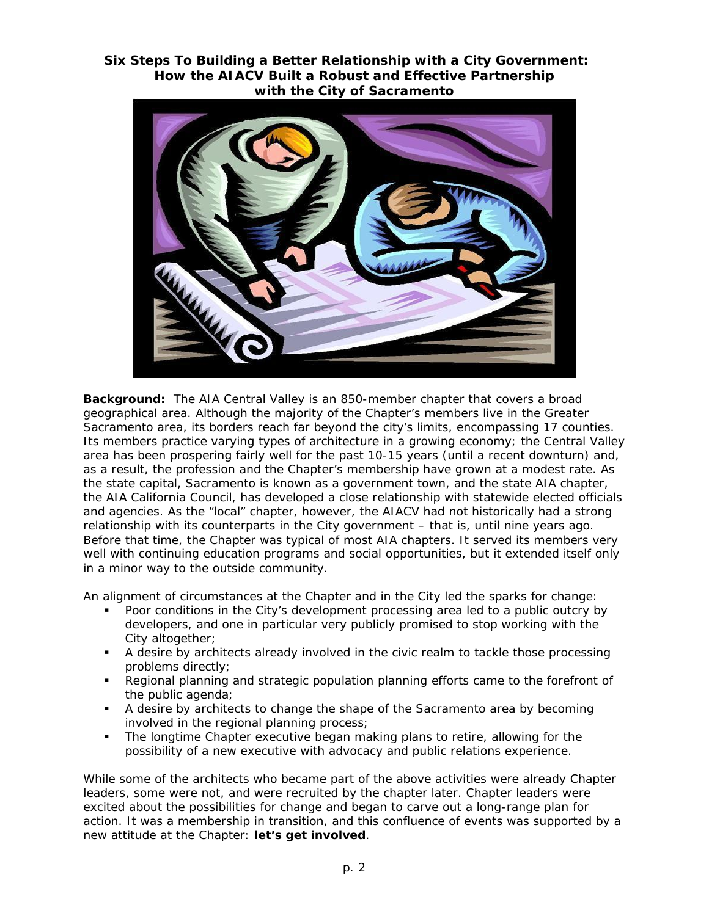# **Six Steps To Building a Better Relationship with a City Government: How the AIACV Built a Robust and Effective Partnership with the City of Sacramento**



**Background:** The AIA Central Valley is an 850-member chapter that covers a broad geographical area. Although the majority of the Chapter's members live in the Greater Sacramento area, its borders reach far beyond the city's limits, encompassing 17 counties. Its members practice varying types of architecture in a growing economy; the Central Valley area has been prospering fairly well for the past 10-15 years (until a recent downturn) and, as a result, the profession and the Chapter's membership have grown at a modest rate. As the state capital, Sacramento is known as a government town, and the state AIA chapter, the AIA California Council, has developed a close relationship with statewide elected officials and agencies. As the "local" chapter, however, the AIACV had not historically had a strong relationship with its counterparts in the City government – that is, until nine years ago. Before that time, the Chapter was typical of most AIA chapters. It served its members very well with continuing education programs and social opportunities, but it extended itself only in a minor way to the outside community.

An alignment of circumstances at the Chapter and in the City led the sparks for change:

- Poor conditions in the City's development processing area led to a public outcry by developers, and one in particular very publicly promised to stop working with the City altogether;
- A desire by architects already involved in the civic realm to tackle those processing problems directly;
- Regional planning and strategic population planning efforts came to the forefront of the public agenda;
- A desire by architects to change the shape of the Sacramento area by becoming involved in the regional planning process;
- **The longtime Chapter executive began making plans to retire, allowing for the** possibility of a new executive with advocacy and public relations experience.

While some of the architects who became part of the above activities were already Chapter leaders, some were not, and were recruited by the chapter later. Chapter leaders were excited about the possibilities for change and began to carve out a long-range plan for action. It was a membership in transition, and this confluence of events was supported by a new attitude at the Chapter: *let's get involved*.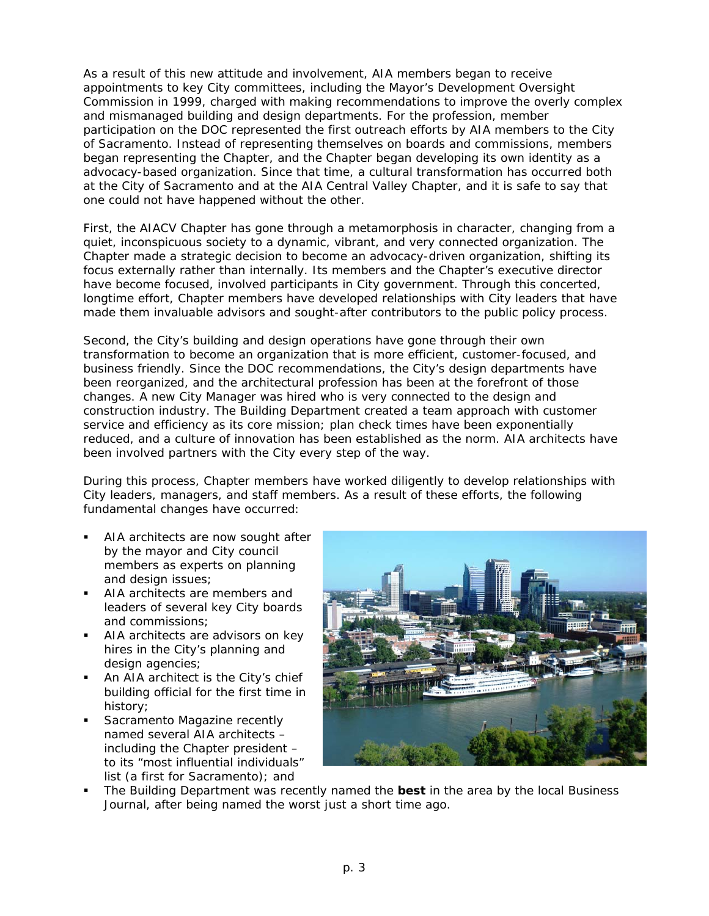As a result of this new attitude and involvement, AIA members began to receive appointments to key City committees, including the Mayor's Development Oversight Commission in 1999, charged with making recommendations to improve the overly complex and mismanaged building and design departments. For the profession, member participation on the DOC represented the first outreach efforts by AIA members to the City of Sacramento. Instead of representing *themselves* on boards and commissions, members began representing the *Chapter*, and the Chapter began developing its own identity as a advocacy-based organization. Since that time, a cultural transformation has occurred both at the City of Sacramento and at the AIA Central Valley Chapter, and it is safe to say that one could not have happened without the other.

First, the AIACV Chapter has gone through a metamorphosis in character, changing from a quiet, inconspicuous society to a dynamic, vibrant, and very *connected* organization. The Chapter made a strategic decision to become an *advocacy-driven* organization, shifting its focus externally rather than internally. Its members and the Chapter's executive director have become focused, involved participants in City government. Through this concerted, longtime effort, Chapter members have developed relationships with City leaders that have made them invaluable advisors and sought-after contributors to the public policy process.

Second, the City's building and design operations have gone through their own transformation to become an organization that is more efficient, customer-focused, and business friendly. Since the DOC recommendations, the City's design departments have been reorganized, and the architectural profession has been at the forefront of those changes. A new City Manager was hired who is very connected to the design and construction industry. The Building Department created a team approach with customer service and efficiency as its core mission; plan check times have been exponentially reduced, and a culture of innovation has been established as the norm. AIA architects have been involved partners with the City every step of the way.

During this process, Chapter members have worked diligently to develop relationships with City leaders, managers, and staff members. As a result of these efforts, the following fundamental changes have occurred:

- AIA architects are now sought after by the mayor and City council members as experts on planning and design issues;
- AIA architects are members and leaders of several key City boards and commissions;
- AIA architects are advisors on key hires in the City's planning and design agencies;
- An AIA architect is the City's chief building official for the first time in history;
- *Sacramento Magazine* recently named several AIA architects – including the Chapter president – to its "most influential individuals" list (a first for Sacramento); and



 The Building Department was recently named the *best* in the area by the local *Business Journal*, after being named the worst just a short time ago.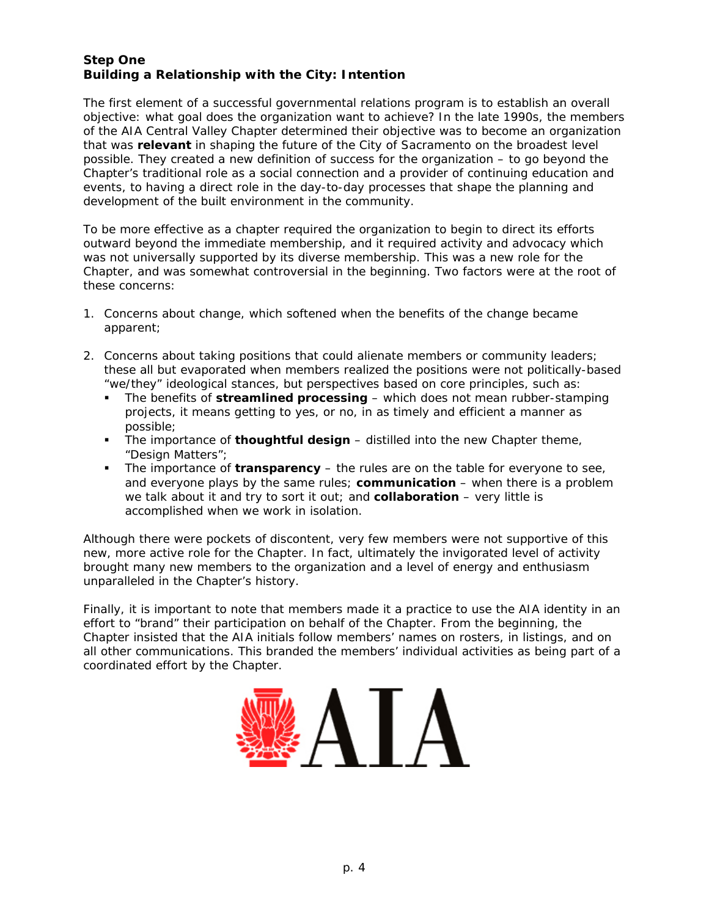# **Step One Building a Relationship with the City: Intention**

The first element of a successful governmental relations program is to establish an overall objective: what goal does the organization want to achieve? In the late 1990s, the members of the AIA Central Valley Chapter determined their objective was to become an organization that was **relevant** in shaping the future of the City of Sacramento on the broadest level possible. They created a new definition of success for the organization – to go beyond the Chapter's traditional role as a social connection and a provider of continuing education and events, to having a direct role in the day-to-day processes that shape the planning and development of the built environment in the community.

To be more effective as a chapter required the organization to begin to direct its efforts *outward* beyond the immediate membership, and it required activity and advocacy which was not universally supported by its diverse membership. This was a new role for the Chapter, and was somewhat controversial in the beginning. Two factors were at the root of these concerns:

- 1. Concerns about change, which softened when the benefits of the change became apparent;
- 2. Concerns about taking positions that could alienate members or community leaders; these all but evaporated when members realized the positions were not politically-based "we/they" ideological stances, but perspectives based on core principles, such as:
	- The benefits of *streamlined processing* which does not mean rubber-stamping projects, it means getting to yes, or no, in as timely and efficient a manner as possible;
	- The importance of *thoughtful design* distilled into the new Chapter theme, "Design Matters";
	- The importance of *transparency* the rules are on the table for everyone to see, and everyone plays by the same rules; *communication* – when there is a problem we talk about it and try to sort it out; and *collaboration* – very little is accomplished when we work in isolation.

Although there were pockets of discontent, very few members were not supportive of this new, more active role for the Chapter. In fact, ultimately the invigorated level of activity brought many new members to the organization and a level of energy and enthusiasm unparalleled in the Chapter's history.

Finally, it is important to note that members made it a practice to use the AIA identity in an effort to "brand" their participation on behalf of the Chapter. From the beginning, the Chapter insisted that the AIA initials follow members' names on rosters, in listings, and on all other communications. This branded the members' individual activities as being part of a coordinated effort by the Chapter.

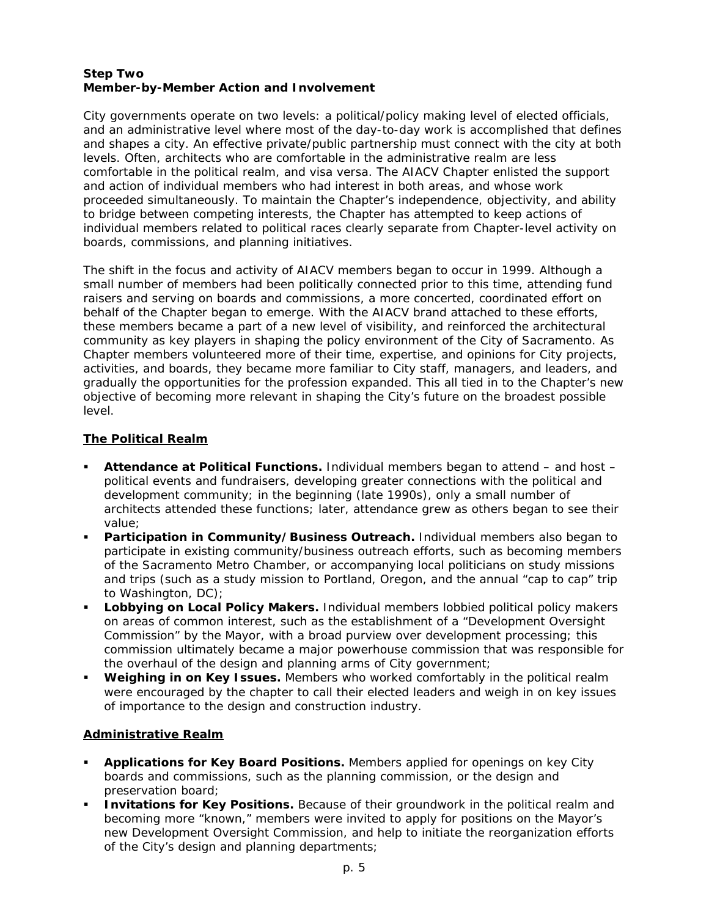#### **Step Two Member-by-Member Action and Involvement**

City governments operate on two levels: a political/policy making level of elected officials, and an administrative level where most of the day-to-day work is accomplished that defines and shapes a city. An effective private/public partnership must connect with the city at both levels. Often, architects who are comfortable in the administrative realm are less comfortable in the political realm, and visa versa. The AIACV Chapter enlisted the support and action of individual members who had interest in both areas, and whose work proceeded simultaneously. To maintain the Chapter's independence, objectivity, and ability to bridge between competing interests, the Chapter has attempted to keep actions of individual members related to political races clearly separate from Chapter-level activity on boards, commissions, and planning initiatives.

The shift in the focus and activity of AIACV members began to occur in 1999. Although a small number of members had been politically connected prior to this time, attending fund raisers and serving on boards and commissions, a more concerted, coordinated effort on behalf of the Chapter began to emerge. With the AIACV brand attached to these efforts, these members became a part of a new level of visibility, and reinforced the architectural community as key players in shaping the policy environment of the City of Sacramento. As Chapter members volunteered more of their time, expertise, and opinions for City projects, activities, and boards, they became more familiar to City staff, managers, and leaders, and gradually the opportunities for the profession expanded. This all tied in to the Chapter's new objective of becoming more relevant in shaping the City's future on the broadest possible level.

# **The Political Realm**

- **Attendance at Political Functions.** Individual members began to attend and host political events and fundraisers, developing greater connections with the political and development community; in the beginning (late 1990s), only a small number of architects attended these functions; later, attendance grew as others began to see their value;
- **Participation in Community/Business Outreach.** Individual members also began to participate in existing community/business outreach efforts, such as becoming members of the Sacramento Metro Chamber, or accompanying local politicians on study missions and trips (such as a study mission to Portland, Oregon, and the annual "cap to cap" trip to Washington, DC);
- **Lobbying on Local Policy Makers.** Individual members lobbied political policy makers on areas of common interest, such as the establishment of a "Development Oversight Commission" by the Mayor, with a broad purview over development processing; this commission ultimately became a major powerhouse commission that was responsible for the overhaul of the design and planning arms of City government;
- **Weighing in on Key Issues.** Members who worked comfortably in the political realm were encouraged by the chapter to call their elected leaders and weigh in on key issues of importance to the design and construction industry.

# **Administrative Realm**

- **Applications for Key Board Positions.** Members applied for openings on key City boards and commissions, such as the planning commission, or the design and preservation board;
- **Invitations for Key Positions.** Because of their groundwork in the political realm and becoming more "known," members were invited to apply for positions on the Mayor's new Development Oversight Commission, and help to initiate the reorganization efforts of the City's design and planning departments;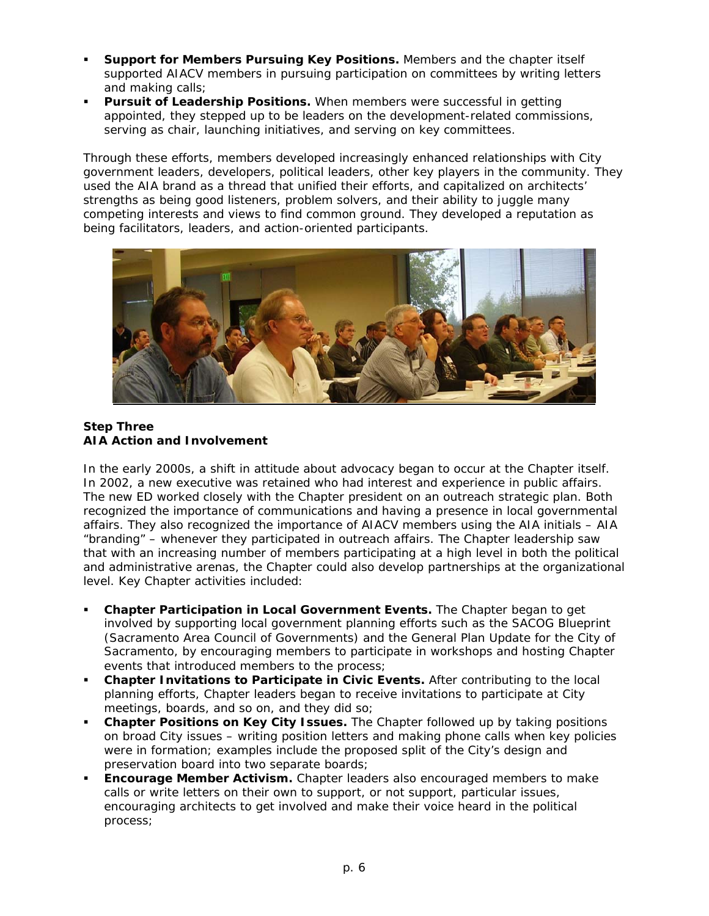- **Support for Members Pursuing Key Positions.** Members and the chapter itself supported AIACV members in pursuing participation on committees by writing letters and making calls;
- **Pursuit of Leadership Positions.** When members were successful in getting appointed, they stepped up to be leaders on the development-related commissions, serving as chair, launching initiatives, and serving on key committees.

Through these efforts, members developed increasingly enhanced relationships with City government leaders, developers, political leaders, other key players in the community. They used the AIA brand as a thread that unified their efforts, and capitalized on architects' strengths as being good listeners, problem solvers, and their ability to juggle many competing interests and views to find common ground. They developed a reputation as being facilitators, leaders, and action-oriented participants.



### **Step Three AIA Action and Involvement**

In the early 2000s, a shift in attitude about advocacy began to occur at the Chapter itself. In 2002, a new executive was retained who had interest and experience in public affairs. The new ED worked closely with the Chapter president on an outreach strategic plan. Both recognized the importance of communications and having a presence in local governmental affairs. They also recognized the importance of AIACV members using the AIA initials – AIA "branding" – whenever they participated in outreach affairs. The Chapter leadership saw that with an increasing number of members participating at a high level in both the political and administrative arenas, the Chapter could also develop partnerships at the organizational level. Key Chapter activities included:

- **Chapter Participation in Local Government Events.** The Chapter began to get involved by supporting local government planning efforts such as the SACOG Blueprint (Sacramento Area Council of Governments) and the General Plan Update for the City of Sacramento, by encouraging members to participate in workshops and hosting Chapter events that introduced members to the process;
- **Chapter Invitations to Participate in Civic Events.** After contributing to the local planning efforts, Chapter leaders began to receive invitations to participate at City meetings, boards, and so on, and they did so;
- **Chapter Positions on Key City Issues.** The Chapter followed up by taking positions on broad City issues – writing position letters and making phone calls when key policies were in formation; examples include the proposed split of the City's design and preservation board into two separate boards;
- **Encourage Member Activism.** Chapter leaders also encouraged members to make calls or write letters on their own to support, or not support, particular issues, encouraging architects to get involved and make their voice heard in the political process;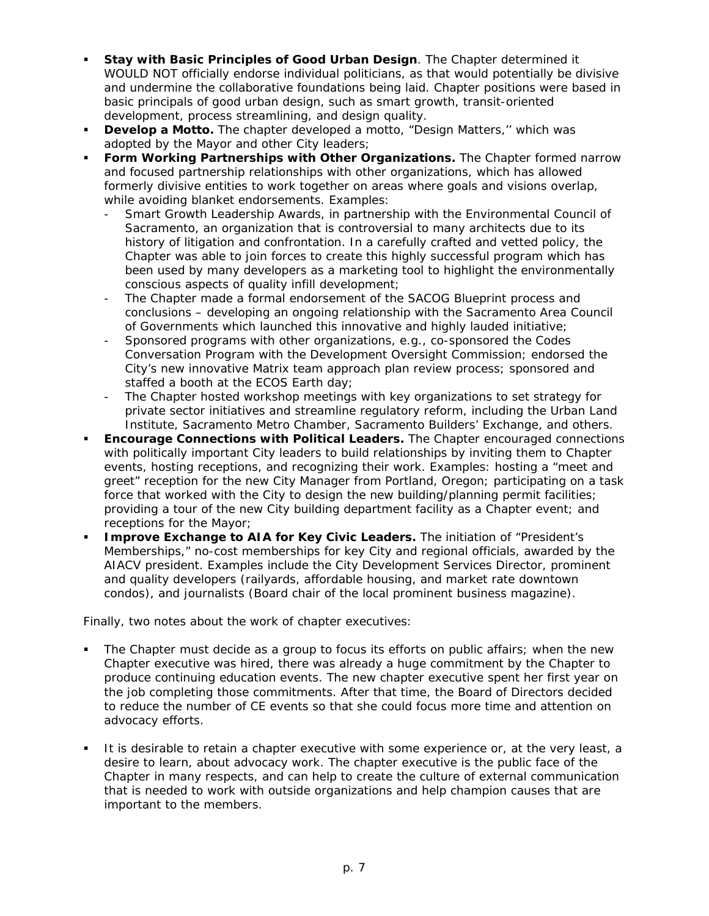- **Stay with Basic Principles of Good Urban Design**. The Chapter determined it WOULD NOT officially endorse individual politicians, as that would potentially be divisive and undermine the collaborative foundations being laid. Chapter positions were based in basic principals of good urban design, such as smart growth, transit-oriented development, process streamlining, and design quality.
- **Develop a Motto.** The chapter developed a motto, "Design Matters," which was adopted by the Mayor and other City leaders;
- **Form Working Partnerships with Other Organizations.** The Chapter formed narrow and focused partnership relationships with other organizations, which has allowed formerly divisive entities to work together on areas where goals and visions overlap, while avoiding blanket endorsements. Examples:
	- Smart Growth Leadership Awards, in partnership with the Environmental Council of Sacramento, an organization that is controversial to many architects due to its history of litigation and confrontation. In a carefully crafted and vetted policy, the Chapter was able to join forces to create this highly successful program which has been used by many developers as a marketing tool to highlight the environmentally conscious aspects of quality infill development;
	- The Chapter made a formal endorsement of the SACOG Blueprint process and conclusions – developing an ongoing relationship with the Sacramento Area Council of Governments which launched this innovative and highly lauded initiative;
	- Sponsored programs with other organizations, e.g., co-sponsored the Codes Conversation Program with the Development Oversight Commission; endorsed the City's new innovative Matrix team approach plan review process; sponsored and staffed a booth at the ECOS Earth day;
	- The Chapter hosted workshop meetings with key organizations to set strategy for private sector initiatives and streamline regulatory reform, including the Urban Land Institute, Sacramento Metro Chamber, Sacramento Builders' Exchange, and others.
- **Encourage Connections with Political Leaders.** The Chapter encouraged connections with politically important City leaders to build relationships by inviting them to Chapter events, hosting receptions, and recognizing their work. Examples: hosting a "meet and greet" reception for the new City Manager from Portland, Oregon; participating on a task force that worked with the City to design the new building/planning permit facilities; providing a tour of the new City building department facility as a Chapter event; and receptions for the Mayor;
- **Improve Exchange to AIA for Key Civic Leaders.** The initiation of "President's Memberships," no-cost memberships for key City and regional officials, awarded by the AIACV president. Examples include the City Development Services Director, prominent and quality developers (railyards, affordable housing, and market rate downtown condos), and journalists (Board chair of the local prominent business magazine).

Finally, two notes about the work of chapter executives:

- The Chapter must decide as a group to focus its efforts on public affairs; when the new Chapter executive was hired, there was already a huge commitment by the Chapter to produce continuing education events. The new chapter executive spent her first year on the job completing those commitments. After that time, the Board of Directors decided to reduce the number of CE events so that she could focus more time and attention on advocacy efforts.
- It is desirable to retain a chapter executive with some experience or, at the very least, a desire to learn, about advocacy work. The chapter executive is the public face of the Chapter in many respects, and can help to create the culture of external communication that is needed to work with outside organizations and help champion causes that are important to the members.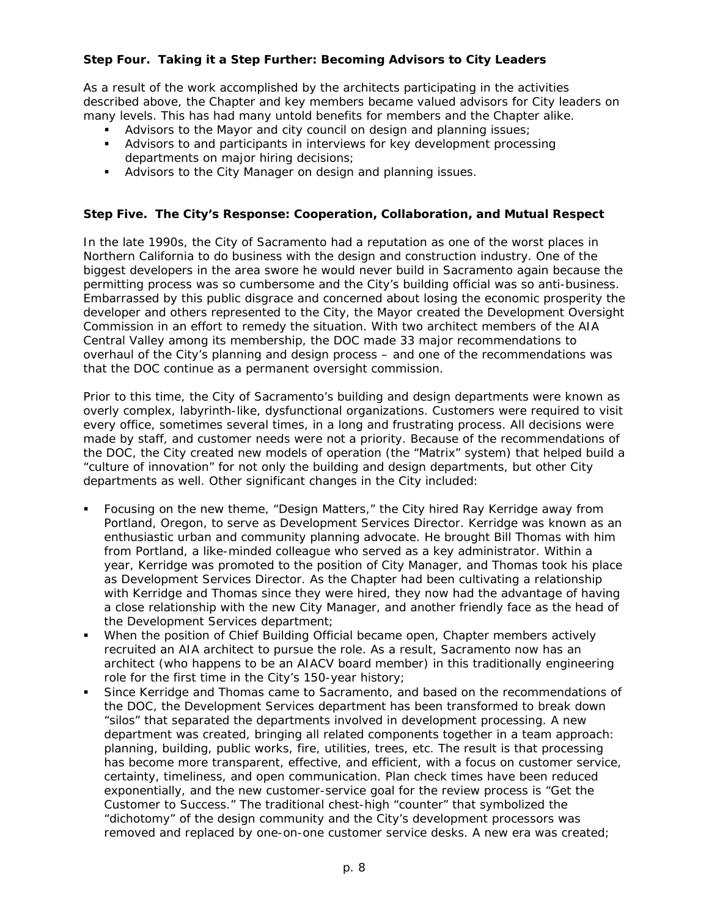## **Step Four. Taking it a Step Further: Becoming Advisors to City Leaders**

As a result of the work accomplished by the architects participating in the activities described above, the Chapter and key members became valued advisors for City leaders on many levels. This has had many untold benefits for members and the Chapter alike.

- Advisors to the Mayor and city council on design and planning issues;
- Advisors to and participants in interviews for key development processing departments on major hiring decisions;
- **Advisors to the City Manager on design and planning issues.**

#### **Step Five. The City's Response: Cooperation, Collaboration, and Mutual Respect**

In the late 1990s, the City of Sacramento had a reputation as one of the worst places in Northern California to do business with the design and construction industry. One of the biggest developers in the area swore he would never build in Sacramento again because the permitting process was so cumbersome and the City's building official was so anti-business. Embarrassed by this public disgrace and concerned about losing the economic prosperity the developer and others represented to the City, the Mayor created the Development Oversight Commission in an effort to remedy the situation. With two architect members of the AIA Central Valley among its membership, the DOC made 33 major recommendations to overhaul of the City's planning and design process – and one of the recommendations was that the DOC continue as a permanent oversight commission.

Prior to this time, the City of Sacramento's building and design departments were known as overly complex, labyrinth-like, dysfunctional organizations. Customers were required to visit every office, sometimes several times, in a long and frustrating process. All decisions were made by staff, and customer needs were not a priority. Because of the recommendations of the DOC, the City created new models of operation (the "Matrix" system) that helped build a "culture of innovation" for not only the building and design departments, but other City departments as well. Other significant changes in the City included:

- Focusing on the new theme, "Design Matters," the City hired Ray Kerridge away from Portland, Oregon, to serve as Development Services Director. Kerridge was known as an enthusiastic urban and community planning advocate. He brought Bill Thomas with him from Portland, a like-minded colleague who served as a key administrator. Within a year, Kerridge was promoted to the position of City Manager, and Thomas took his place as Development Services Director. As the Chapter had been cultivating a relationship with Kerridge and Thomas since they were hired, they now had the advantage of having a close relationship with the new City Manager, and another friendly face as the head of the Development Services department;
- When the position of Chief Building Official became open, Chapter members actively recruited an AIA architect to pursue the role. As a result, Sacramento now has an architect (who happens to be an AIACV board member) in this traditionally engineering role for the first time in the City's 150-year history;
- Since Kerridge and Thomas came to Sacramento, and based on the recommendations of the DOC, the Development Services department has been transformed to break down "silos" that separated the departments involved in development processing. A new department was created, bringing all related components together in a team approach: planning, building, public works, fire, utilities, trees, etc. The result is that processing has become more transparent, effective, and efficient, with a focus on customer service, certainty, timeliness, and open communication. Plan check times have been reduced exponentially, and the new customer-service goal for the review process is "Get the Customer to Success." The traditional chest-high "counter" that symbolized the "dichotomy" of the design community and the City's development processors was removed and replaced by one-on-one customer service desks. A new era was created;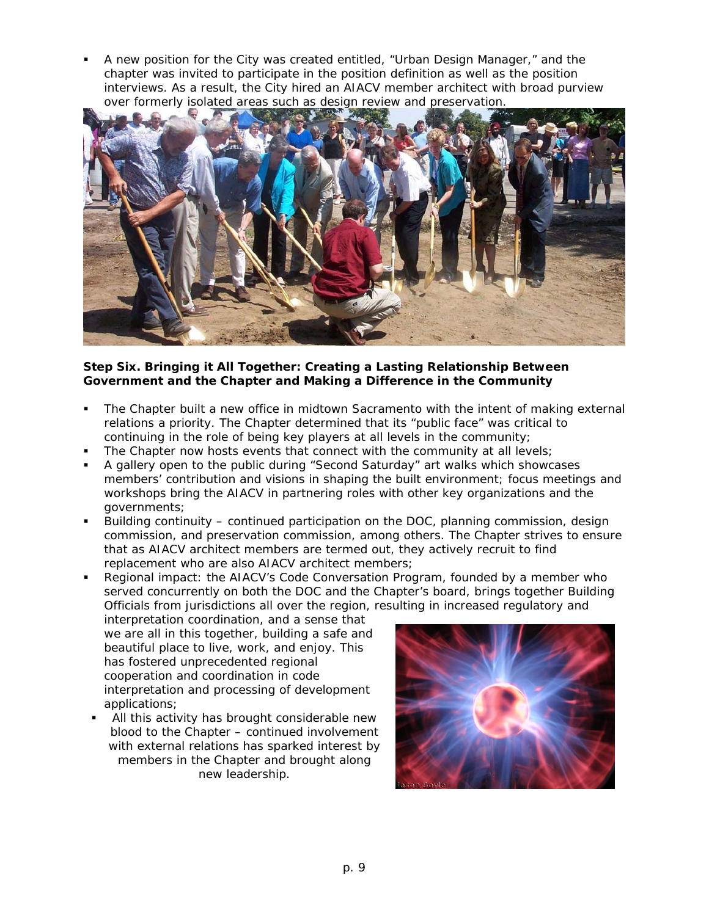A new position for the City was created entitled, "Urban Design Manager," and the chapter was invited to participate in the position definition as well as the position interviews. As a result, the City hired an AIACV member architect with broad purview over formerly isolated areas such as design review and preservation.



### **Step Six. Bringing it All Together: Creating a Lasting Relationship Between Government and the Chapter and Making a Difference in the Community**

- The Chapter built a new office in midtown Sacramento with the intent of making external relations a priority. The Chapter determined that its "public face" was critical to continuing in the role of being key players at all levels in the community;
- The Chapter now hosts events that connect with the community at all levels;
- A gallery open to the public during "Second Saturday" art walks which showcases members' contribution and visions in shaping the built environment; focus meetings and workshops bring the AIACV in partnering roles with other key organizations and the governments;
- Building continuity continued participation on the DOC, planning commission, design commission, and preservation commission, among others. The Chapter strives to ensure that as AIACV architect members are termed out, they actively recruit to find replacement who are also AIACV architect members;
- Regional impact: the AIACV's Code Conversation Program, founded by a member who served concurrently on both the DOC and the Chapter's board, brings together Building Officials from jurisdictions all over the region, resulting in increased regulatory and

interpretation coordination, and a sense that we are all in this together, building a safe and beautiful place to live, work, and enjoy. This has fostered unprecedented regional cooperation and coordination in code interpretation and processing of development applications;

 All this activity has brought considerable new blood to the Chapter – continued involvement with external relations has sparked interest by members in the Chapter and brought along new leadership.

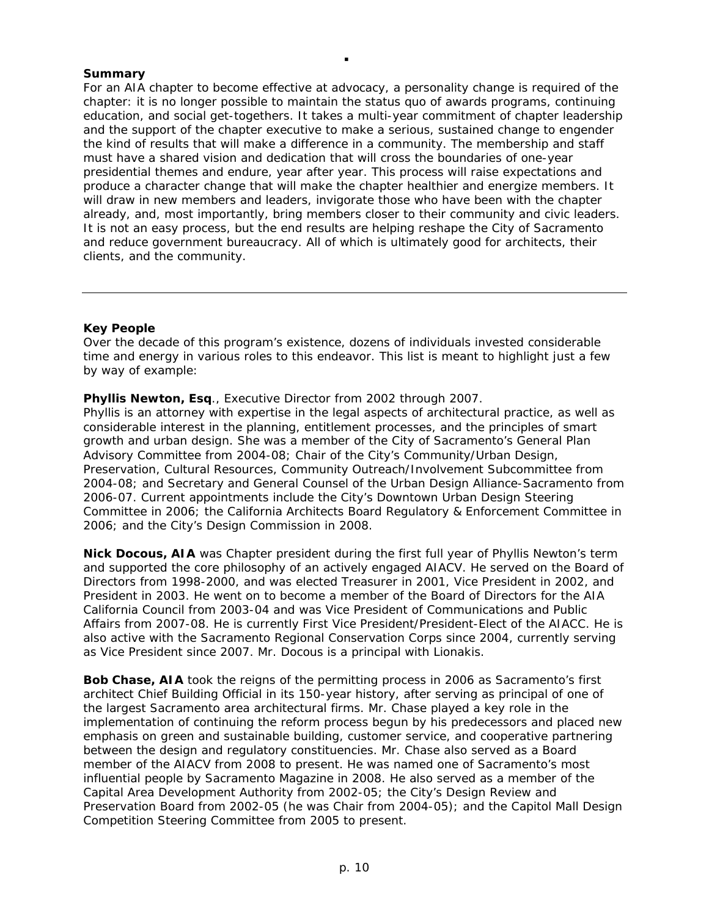### **Summary**

For an AIA chapter to become effective at advocacy, a personality change is required of the chapter: it is no longer possible to maintain the status quo of awards programs, continuing education, and social get-togethers. It takes a multi-year commitment of chapter leadership and the support of the chapter executive to make a serious, sustained change to engender the kind of results that will make a difference in a community. The membership and staff must have a shared vision and dedication that will cross the boundaries of one-year presidential themes and endure, year after year. This process will raise expectations and produce a character change that will make the chapter healthier and energize members. It will draw in new members and leaders, invigorate those who have been with the chapter already, and, most importantly, bring members closer to their community and civic leaders. It is not an easy process, but the end results are helping reshape the City of Sacramento and reduce government bureaucracy. All of which is ultimately good for architects, their clients, and the community.

 $\blacksquare$ 

#### **Key People**

Over the decade of this program's existence, dozens of individuals invested considerable time and energy in various roles to this endeavor. This list is meant to highlight just a few by way of example:

**Phyllis Newton, Esq**., Executive Director from 2002 through 2007.

Phyllis is an attorney with expertise in the legal aspects of architectural practice, as well as considerable interest in the planning, entitlement processes, and the principles of smart growth and urban design. She was a member of the City of Sacramento's General Plan Advisory Committee from 2004-08; Chair of the City's Community/Urban Design, Preservation, Cultural Resources, Community Outreach/Involvement Subcommittee from 2004-08; and Secretary and General Counsel of the Urban Design Alliance-Sacramento from 2006-07. Current appointments include the City's Downtown Urban Design Steering Committee in 2006; the California Architects Board Regulatory & Enforcement Committee in 2006; and the City's Design Commission in 2008.

**Nick Docous, AIA** was Chapter president during the first full year of Phyllis Newton's term and supported the core philosophy of an actively engaged AIACV. He served on the Board of Directors from 1998-2000, and was elected Treasurer in 2001, Vice President in 2002, and President in 2003. He went on to become a member of the Board of Directors for the AIA California Council from 2003-04 and was Vice President of Communications and Public Affairs from 2007-08. He is currently First Vice President/President-Elect of the AIACC. He is also active with the Sacramento Regional Conservation Corps since 2004, currently serving as Vice President since 2007. Mr. Docous is a principal with Lionakis.

**Bob Chase, AIA** took the reigns of the permitting process in 2006 as Sacramento's first architect Chief Building Official in its 150-year history, after serving as principal of one of the largest Sacramento area architectural firms. Mr. Chase played a key role in the implementation of continuing the reform process begun by his predecessors and placed new emphasis on green and sustainable building, customer service, and cooperative partnering between the design and regulatory constituencies. Mr. Chase also served as a Board member of the AIACV from 2008 to present. He was named one of Sacramento's most influential people by *Sacramento Magazine* in 2008. He also served as a member of the Capital Area Development Authority from 2002-05; the City's Design Review and Preservation Board from 2002-05 (he was Chair from 2004-05); and the Capitol Mall Design Competition Steering Committee from 2005 to present.